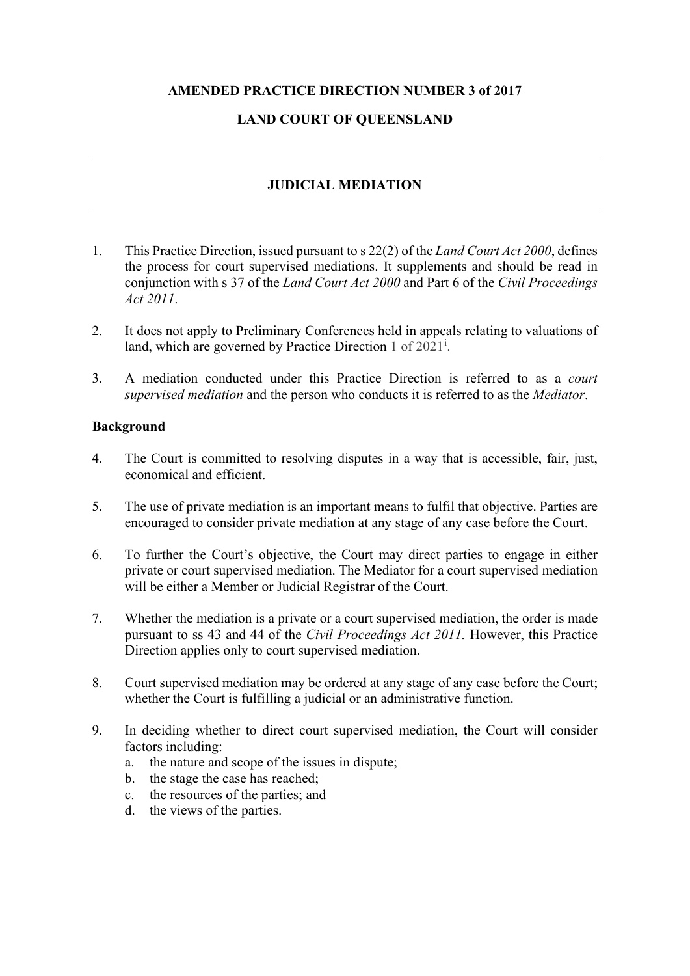# **AMENDED PRACTICE DIRECTION NUMBER 3 of 2017**

# **LAND COURT OF QUEENSLAND**

# **JUDICIAL MEDIATION**

- 1. This Practice Direction, issued pursuant to s 22(2) of the *Land Court Act 2000*, defines the process for court supervised mediations. It supplements and should be read in conjunction with s 37 of the *Land Court Act 2000* and Part 6 of the *Civil Proceedings Act 2011*.
- 2. It does not apply to Preliminary Conferences held in appeals relating to valuations of land, wh[i](#page-3-0)ch are governed by Practice Direction  $1$  of  $2021^{\mathrm{i}}$ .
- 3. A mediation conducted under this Practice Direction is referred to as a *court supervised mediation* and the person who conducts it is referred to as the *Mediator*.

### **Background**

- 4. The Court is committed to resolving disputes in a way that is accessible, fair, just, economical and efficient.
- 5. The use of private mediation is an important means to fulfil that objective. Parties are encouraged to consider private mediation at any stage of any case before the Court.
- 6. To further the Court's objective, the Court may direct parties to engage in either private or court supervised mediation. The Mediator for a court supervised mediation will be either a Member or Judicial Registrar of the Court.
- 7. Whether the mediation is a private or a court supervised mediation, the order is made pursuant to ss 43 and 44 of the *Civil Proceedings Act 2011.* However, this Practice Direction applies only to court supervised mediation.
- 8. Court supervised mediation may be ordered at any stage of any case before the Court; whether the Court is fulfilling a judicial or an administrative function.
- 9. In deciding whether to direct court supervised mediation, the Court will consider factors including:
	- a. the nature and scope of the issues in dispute;
	- b. the stage the case has reached;
	- c. the resources of the parties; and
	- d. the views of the parties.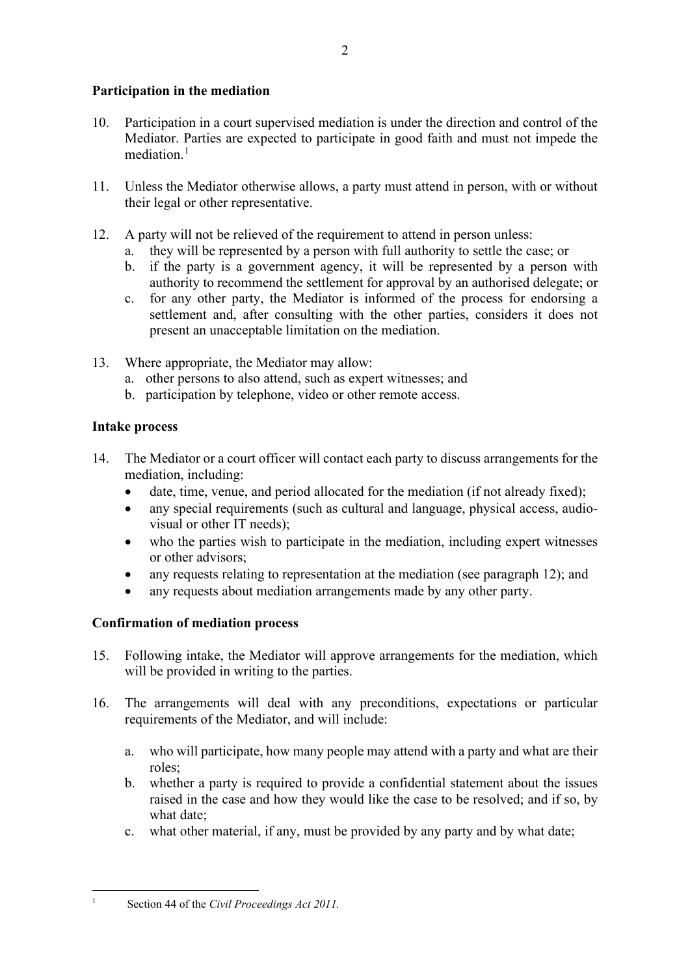# **Participation in the mediation**

- 10. Participation in a court supervised mediation is under the direction and control of the Mediator. Parties are expected to participate in good faith and must not impede the mediation. $<sup>1</sup>$  $<sup>1</sup>$  $<sup>1</sup>$ </sup>
- 11. Unless the Mediator otherwise allows, a party must attend in person, with or without their legal or other representative.
- 12. A party will not be relieved of the requirement to attend in person unless:
	- a. they will be represented by a person with full authority to settle the case; or
	- b. if the party is a government agency, it will be represented by a person with authority to recommend the settlement for approval by an authorised delegate; or
	- c. for any other party, the Mediator is informed of the process for endorsing a settlement and, after consulting with the other parties, considers it does not present an unacceptable limitation on the mediation.
- 13. Where appropriate, the Mediator may allow:
	- a. other persons to also attend, such as expert witnesses; and
	- b. participation by telephone, video or other remote access.

# **Intake process**

- 14. The Mediator or a court officer will contact each party to discuss arrangements for the mediation, including:
	- date, time, venue, and period allocated for the mediation (if not already fixed);
	- any special requirements (such as cultural and language, physical access, audiovisual or other IT needs);
	- who the parties wish to participate in the mediation, including expert witnesses or other advisors;
	- any requests relating to representation at the mediation (see paragraph 12); and
	- any requests about mediation arrangements made by any other party.

# **Confirmation of mediation process**

- 15. Following intake, the Mediator will approve arrangements for the mediation, which will be provided in writing to the parties.
- 16. The arrangements will deal with any preconditions, expectations or particular requirements of the Mediator, and will include:
	- a. who will participate, how many people may attend with a party and what are their roles;
	- b. whether a party is required to provide a confidential statement about the issues raised in the case and how they would like the case to be resolved; and if so, by what date;
	- c. what other material, if any, must be provided by any party and by what date;

<span id="page-1-0"></span><sup>1</sup> Section 44 of the *Civil Proceedings Act 2011.*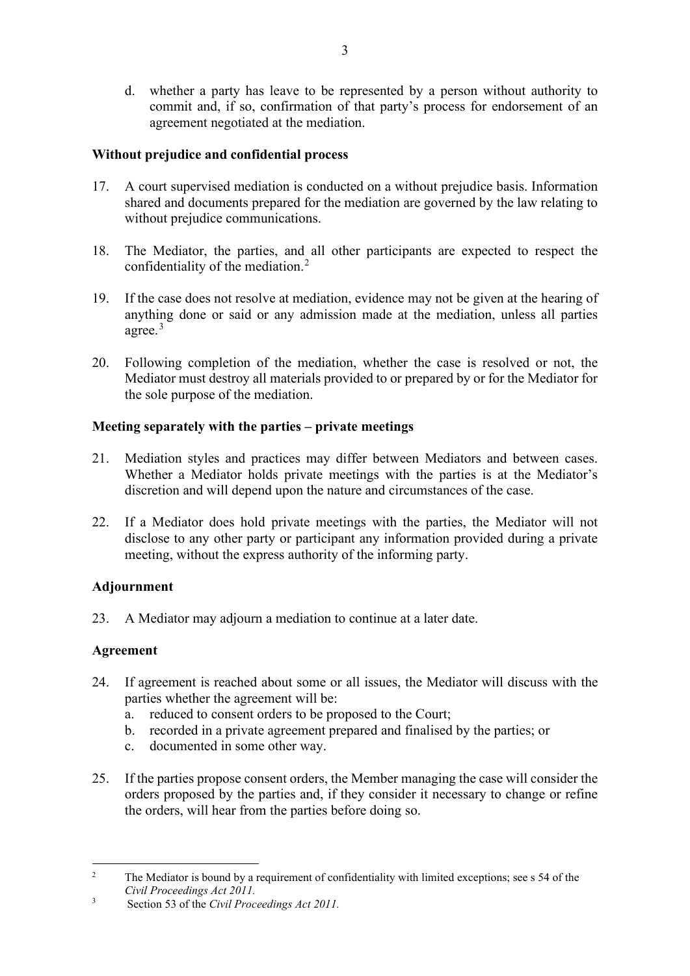d. whether a party has leave to be represented by a person without authority to commit and, if so, confirmation of that party's process for endorsement of an agreement negotiated at the mediation.

## **Without prejudice and confidential process**

- 17. A court supervised mediation is conducted on a without prejudice basis. Information shared and documents prepared for the mediation are governed by the law relating to without prejudice communications.
- 18. The Mediator, the parties, and all other participants are expected to respect the confidentiality of the mediation. [2](#page-2-0)
- 19. If the case does not resolve at mediation, evidence may not be given at the hearing of anything done or said or any admission made at the mediation, unless all parties agree.<sup>[3](#page-2-1)</sup>
- 20. Following completion of the mediation, whether the case is resolved or not, the Mediator must destroy all materials provided to or prepared by or for the Mediator for the sole purpose of the mediation.

# **Meeting separately with the parties – private meetings**

- 21. Mediation styles and practices may differ between Mediators and between cases. Whether a Mediator holds private meetings with the parties is at the Mediator's discretion and will depend upon the nature and circumstances of the case.
- 22. If a Mediator does hold private meetings with the parties, the Mediator will not disclose to any other party or participant any information provided during a private meeting, without the express authority of the informing party.

# **Adjournment**

23. A Mediator may adjourn a mediation to continue at a later date.

# **Agreement**

- 24. If agreement is reached about some or all issues, the Mediator will discuss with the parties whether the agreement will be:
	- a. reduced to consent orders to be proposed to the Court;
	- b. recorded in a private agreement prepared and finalised by the parties; or
	- c. documented in some other way.
- 25. If the parties propose consent orders, the Member managing the case will consider the orders proposed by the parties and, if they consider it necessary to change or refine the orders, will hear from the parties before doing so.

<span id="page-2-0"></span><sup>&</sup>lt;sup>2</sup> The Mediator is bound by a requirement of confidentiality with limited exceptions; see s 54 of the *Civil Proceedings Act 2011.*

<span id="page-2-1"></span><sup>3</sup> Section 53 of the *Civil Proceedings Act 2011.*